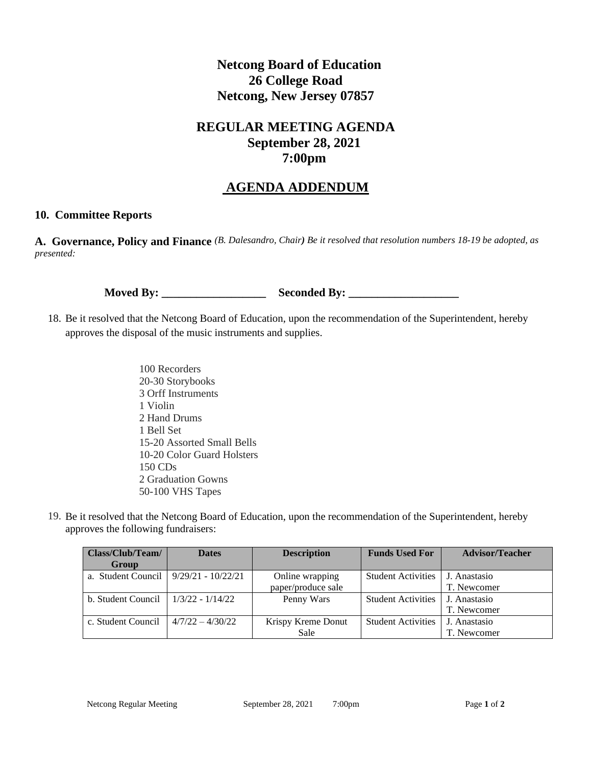## **Netcong Board of Education 26 College Road Netcong, New Jersey 07857**

## **REGULAR MEETING AGENDA September 28, 2021 7:00pm**

## **AGENDA ADDENDUM**

## **10. Committee Reports**

**A. Governance, Policy and Finance** *(B. Dalesandro, Chair) Be it resolved that resolution numbers 18-19 be adopted, as presented:*

**Moved By: \_\_\_\_\_\_\_\_\_\_\_\_\_\_\_\_\_\_ Seconded By: \_\_\_\_\_\_\_\_\_\_\_\_\_\_\_\_\_\_\_**

- 18. Be it resolved that the Netcong Board of Education, upon the recommendation of the Superintendent, hereby approves the disposal of the music instruments and supplies.
	- 100 Recorders 20-30 Storybooks 3 Orff Instruments 1 Violin 2 Hand Drums 1 Bell Set 15-20 Assorted Small Bells 10-20 Color Guard Holsters 150 CDs 2 Graduation Gowns 50-100 VHS Tapes
- 19. Be it resolved that the Netcong Board of Education, upon the recommendation of the Superintendent, hereby approves the following fundraisers:

| Class/Club/Team/                          | <b>Dates</b>       | <b>Description</b> | <b>Funds Used For</b>     | <b>Advisor/Teacher</b> |
|-------------------------------------------|--------------------|--------------------|---------------------------|------------------------|
| Group                                     |                    |                    |                           |                        |
| a. Student Council   $9/29/21 - 10/22/21$ |                    | Online wrapping    | <b>Student Activities</b> | J. Anastasio           |
|                                           |                    | paper/produce sale |                           | T. Newcomer            |
| b. Student Council                        | $1/3/22 - 1/14/22$ | Penny Wars         | Student Activities        | J. Anastasio           |
|                                           |                    |                    |                           | T. Newcomer            |
| c. Student Council                        | $4/7/22 - 4/30/22$ | Krispy Kreme Donut | <b>Student Activities</b> | J. Anastasio           |
|                                           |                    | Sale               |                           | T. Newcomer            |